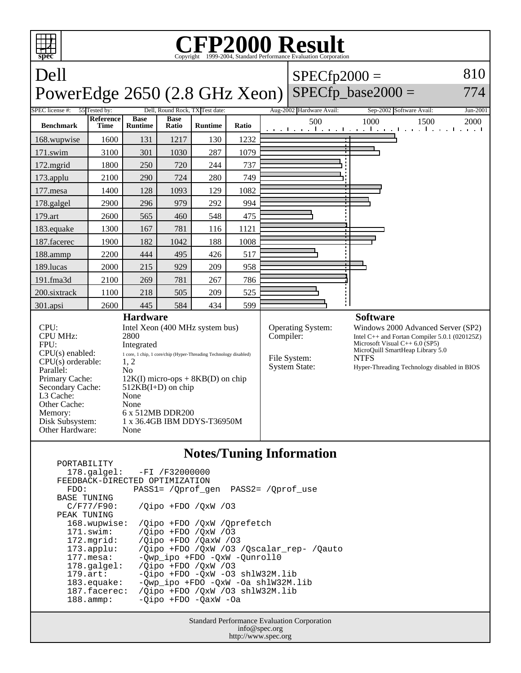

## **Notes/Tuning Information**

|                                | $178.\text{qalgel}: -FI /F32000000$            |
|--------------------------------|------------------------------------------------|
| FEEDBACK-DIRECTED OPTIMIZATION |                                                |
| FDO:                           | PASS1= / Oprof gen PASS2= / Oprof use          |
| <b>BASE TUNING</b>             |                                                |
| C/F77/F90:                     | $\sqrt{O}$ ipo +FDO $\sqrt{O}$ xW $\sqrt{O}$ 3 |
| PEAK TUNING                    |                                                |
| 168.wupwise:                   | /Oipo +FDO /OxW /Oprefetch                     |
| $171$ .swim:                   | /Oipo +FDO /OxW /03                            |
| $172.\text{mgrid}:$            | /Oipo +FDO /OaxW /03                           |
| $173.\text{applu}:$            | /Oipo +FDO /OxW /O3 /Oscalar rep- /Oauto       |
| $177.\text{mesa}$ :            | -Qwp_ipo +FDO -QxW -Qunroll0                   |
| $178.\text{q}$                 | /Oipo +FDO /OxW /03                            |
| $179.\text{art}$ :             | -Oipo +FDO -OxW -O3 shlW32M.lib                |
| $183$ .equake:                 | -Owp ipo +FDO -OxW -Oa shlW32M.lib             |
| 187.facerec:                   | /Oipo +FDO /OxW /O3 shlW32M.lib                |
| $188.\t{amm}:$                 | -Oipo +FDO -OaxW -Oa                           |
|                                |                                                |

PORTABILITY

Standard Performance Evaluation Corporation info@spec.org http://www.spec.org